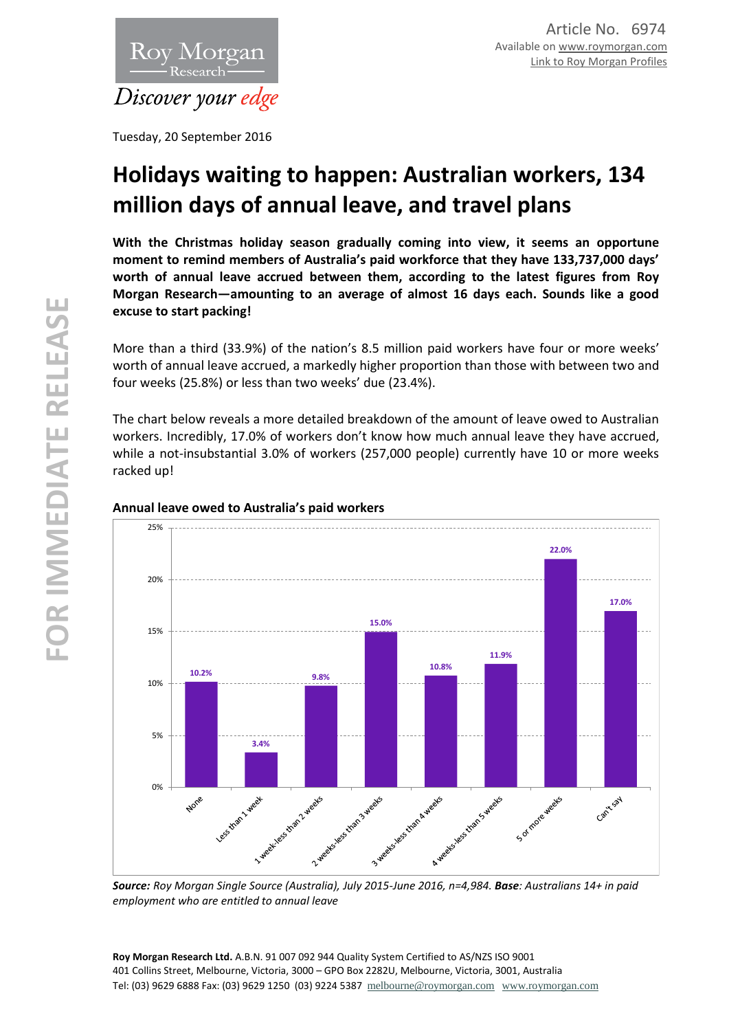

Tuesday, 20 September 2016

# **Holidays waiting to happen: Australian workers, 134 million days of annual leave, and travel plans**

**With the Christmas holiday season gradually coming into view, it seems an opportune moment to remind members of Australia's paid workforce that they have 133,737,000 days' worth of annual leave accrued between them, according to the latest figures from Roy Morgan Research—amounting to an average of almost 16 days each. Sounds like a good excuse to start packing!**

More than a third (33.9%) of the nation's 8.5 million paid workers have four or more weeks' worth of annual leave accrued, a markedly higher proportion than those with between two and four weeks (25.8%) or less than two weeks' due (23.4%).

The chart below reveals a more detailed breakdown of the amount of leave owed to Australian workers. Incredibly, 17.0% of workers don't know how much annual leave they have accrued, while a not-insubstantial 3.0% of workers (257,000 people) currently have 10 or more weeks racked up!



#### **Annual leave owed to Australia's paid workers**

*Source: Roy Morgan Single Source (Australia), July 2015-June 2016, n=4,984. Base: Australians 14+ in paid employment who are entitled to annual leave*

**Roy Morgan Research Ltd.** A.B.N. 91 007 092 944 Quality System Certified to AS/NZS ISO 9001 401 Collins Street, Melbourne, Victoria, 3000 – GPO Box 2282U, Melbourne, Victoria, 3001, Australia Tel: (03) 9629 6888 Fax: (03) 9629 1250 (03) 9224 5387 [melbourne@roymorgan.com](mailto:melbourne@roymorgan.com) [www.roymorgan.com](http://www.roymorgan.com/)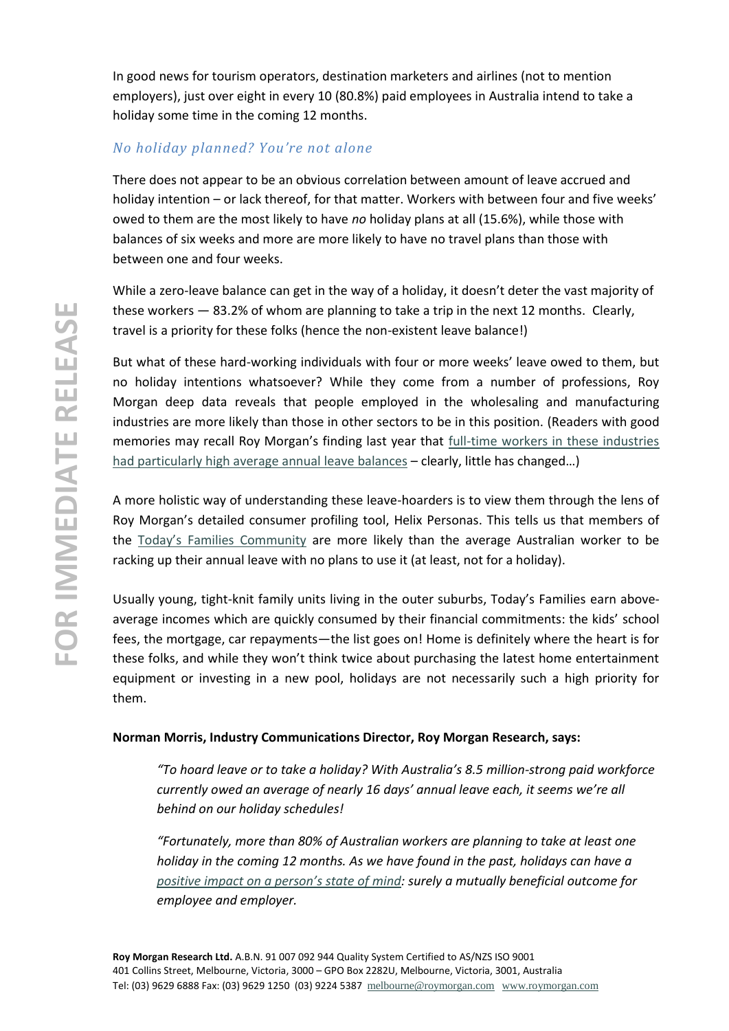In good news for tourism operators, destination marketers and airlines (not to mention employers), just over eight in every 10 (80.8%) paid employees in Australia intend to take a holiday some time in the coming 12 months.

# *No holiday planned? You're not alone*

There does not appear to be an obvious correlation between amount of leave accrued and holiday intention – or lack thereof, for that matter. Workers with between four and five weeks' owed to them are the most likely to have *no* holiday plans at all (15.6%), while those with balances of six weeks and more are more likely to have no travel plans than those with between one and four weeks.

While a zero-leave balance can get in the way of a holiday, it doesn't deter the vast majority of these workers — 83.2% of whom are planning to take a trip in the next 12 months. Clearly, travel is a priority for these folks (hence the non-existent leave balance!)

But what of these hard-working individuals with four or more weeks' leave owed to them, but no holiday intentions whatsoever? While they come from a number of professions, Roy Morgan deep data reveals that people employed in the wholesaling and manufacturing industries are more likely than those in other sectors to be in this position. (Readers with good memories may recall Roy Morgan's finding last year that [full-time workers in these industries](http://www.roymorgan.com.au/findings/6266-aussies-have-how-much-annual-leave-accrued-201506020117)  [had particularly high average annual leave balances](http://www.roymorgan.com.au/findings/6266-aussies-have-how-much-annual-leave-accrued-201506020117) – clearly, little has changed…)

A more holistic way of understanding these leave-hoarders is to view them through the lens of Roy Morgan's detailed consumer profiling tool, Helix Personas. This tells us that members of the [Today's Families Community](http://www.helixpersonas.com.au/browse/todays-families/overview) are more likely than the average Australian worker to be racking up their annual leave with no plans to use it (at least, not for a holiday).

Usually young, tight-knit family units living in the outer suburbs, Today's Families earn aboveaverage incomes which are quickly consumed by their financial commitments: the kids' school fees, the mortgage, car repayments—the list goes on! Home is definitely where the heart is for these folks, and while they won't think twice about purchasing the latest home entertainment equipment or investing in a new pool, holidays are not necessarily such a high priority for them.

## **Norman Morris, Industry Communications Director, Roy Morgan Research, says:**

*"To hoard leave or to take a holiday? With Australia's 8.5 million-strong paid workforce currently owed an average of nearly 16 days' annual leave each, it seems we're all behind on our holiday schedules!* 

*"Fortunately, more than 80% of Australian workers are planning to take at least one holiday in the coming 12 months. As we have found in the past, holidays can have a [positive impact on a person's state of mind](http://www.roymorgan.com.au/findings/6912-do-holidays-really-make-us-happier-201608010853): surely a mutually beneficial outcome for employee and employer.*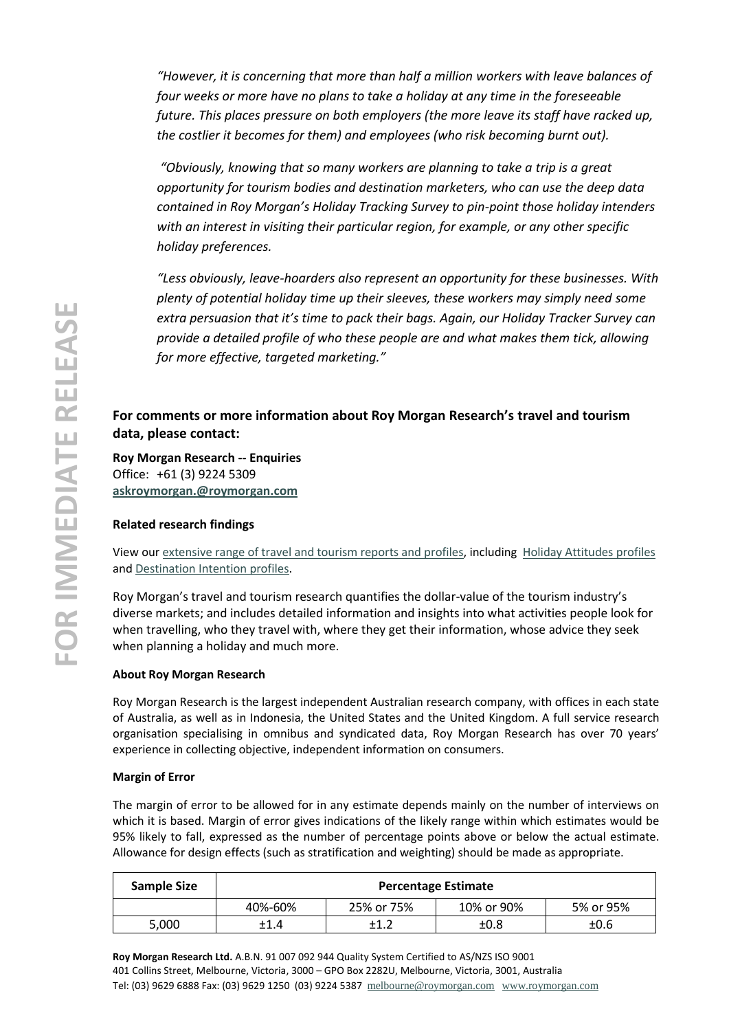*"However, it is concerning that more than half a million workers with leave balances of four weeks or more have no plans to take a holiday at any time in the foreseeable future. This places pressure on both employers (the more leave its staff have racked up, the costlier it becomes for them) and employees (who risk becoming burnt out).*

*"Obviously, knowing that so many workers are planning to take a trip is a great opportunity for tourism bodies and destination marketers, who can use the deep data contained in Roy Morgan's Holiday Tracking Survey to pin-point those holiday intenders with an interest in visiting their particular region, for example, or any other specific holiday preferences.* 

*"Less obviously, leave-hoarders also represent an opportunity for these businesses. With plenty of potential holiday time up their sleeves, these workers may simply need some extra persuasion that it's time to pack their bags. Again, our Holiday Tracker Survey can provide a detailed profile of who these people are and what makes them tick, allowing for more effective, targeted marketing."*

## **For comments or more information about Roy Morgan Research's travel and tourism data, please contact:**

**Roy Morgan Research -- Enquiries** Office: +61 (3) 9224 5309 **[askroymorgan.@roymorgan.com](mailto:askroymorgan.@roymorgan.com)**

#### **Related research findings**

View ou[r extensive range of travel and tourism reports and profiles,](http://www.roymorganonlinestore.com/Browse/Australia/Travel-and-Tourism.aspx) including [Holiday Attitudes profiles](http://www.roymorganonlinestore.com/Browse/Australia/Travel-and-Tourism/Holiday-Attitudes.aspx) an[d Destination Intention profiles.](http://www.roymorganonlinestore.com/Browse/Australia/Travel-and-Tourism/Destination-Intention.aspx)

Roy Morgan's travel and tourism research quantifies the dollar-value of the tourism industry's diverse markets; and includes detailed information and insights into what activities people look for when travelling, who they travel with, where they get their information, whose advice they seek when planning a holiday and much more.

#### **About Roy Morgan Research**

Roy Morgan Research is the largest independent Australian research company, with offices in each state of Australia, as well as in Indonesia, the United States and the United Kingdom. A full service research organisation specialising in omnibus and syndicated data, Roy Morgan Research has over 70 years' experience in collecting objective, independent information on consumers.

#### **Margin of Error**

The margin of error to be allowed for in any estimate depends mainly on the number of interviews on which it is based. Margin of error gives indications of the likely range within which estimates would be 95% likely to fall, expressed as the number of percentage points above or below the actual estimate. Allowance for design effects (such as stratification and weighting) should be made as appropriate.

| Sample Size | <b>Percentage Estimate</b> |            |            |           |  |  |
|-------------|----------------------------|------------|------------|-----------|--|--|
|             | 40%-60%                    | 25% or 75% | 10% or 90% | 5% or 95% |  |  |
| 5.000       | ±1.4                       |            | ±0.8       | ±0.6      |  |  |

**Roy Morgan Research Ltd.** A.B.N. 91 007 092 944 Quality System Certified to AS/NZS ISO 9001 401 Collins Street, Melbourne, Victoria, 3000 – GPO Box 2282U, Melbourne, Victoria, 3001, Australia Tel: (03) 9629 6888 Fax: (03) 9629 1250 (03) 9224 5387 [melbourne@roymorgan.com](mailto:melbourne@roymorgan.com) [www.roymorgan.com](http://www.roymorgan.com/)